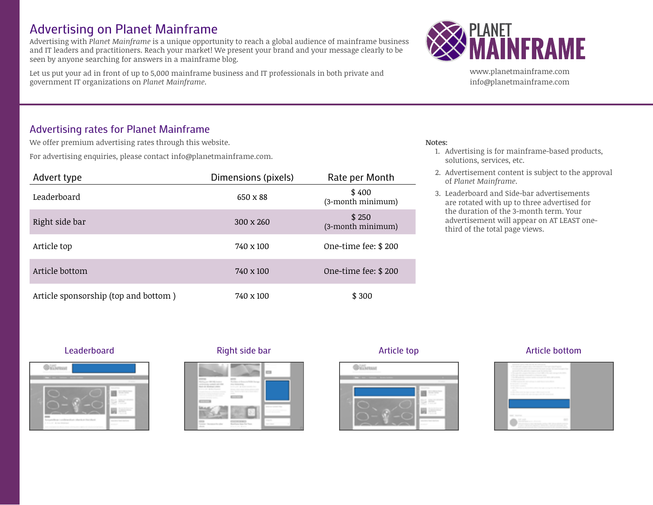# Advertising on Planet Mainframe

Advertising with *Planet Mainframe* is a unique opportunity to reach a global audience of mainframe business and IT leaders and practitioners. Reach your market! We present your brand and your message clearly to be seen by anyone searching for answers in a mainframe blog.

Let us put your ad in front of up to 5,000 mainframe business and IT professionals in both private and government IT organizations on *Planet Mainframe*.



www.planetmainframe.com info@planetmainframe.com

## Advertising rates for Planet Mainframe

We offer premium advertising rates through this website.

For advertising enquiries, please contact info@planetmainframe.com.

| Advert type                          | Dimensions (pixels) | Rate per Month             |
|--------------------------------------|---------------------|----------------------------|
| Leaderboard                          | 650 x 88            | \$400<br>(3-month minimum) |
| Right side bar                       | 300 x 260           | \$250<br>(3-month minimum) |
| Article top                          | 740 x 100           | One-time fee: \$200        |
| Article bottom                       | 740 x 100           | One-time fee: \$200        |
| Article sponsorship (top and bottom) | 740 x 100           | \$300                      |

### **Notes:**

- 1. Advertising is for mainframe-based products, solutions, services, etc.
- 2. Advertisement content is subject to the approval of *Planet Mainframe*.
- 3. Leaderboard and Side-bar advertisements are rotated with up to three advertised for the duration of the 3-month term. Your advertisement will appear on AT LEAST onethird of the total page views.







### Leaderboard Right side bar Article top Article bottom